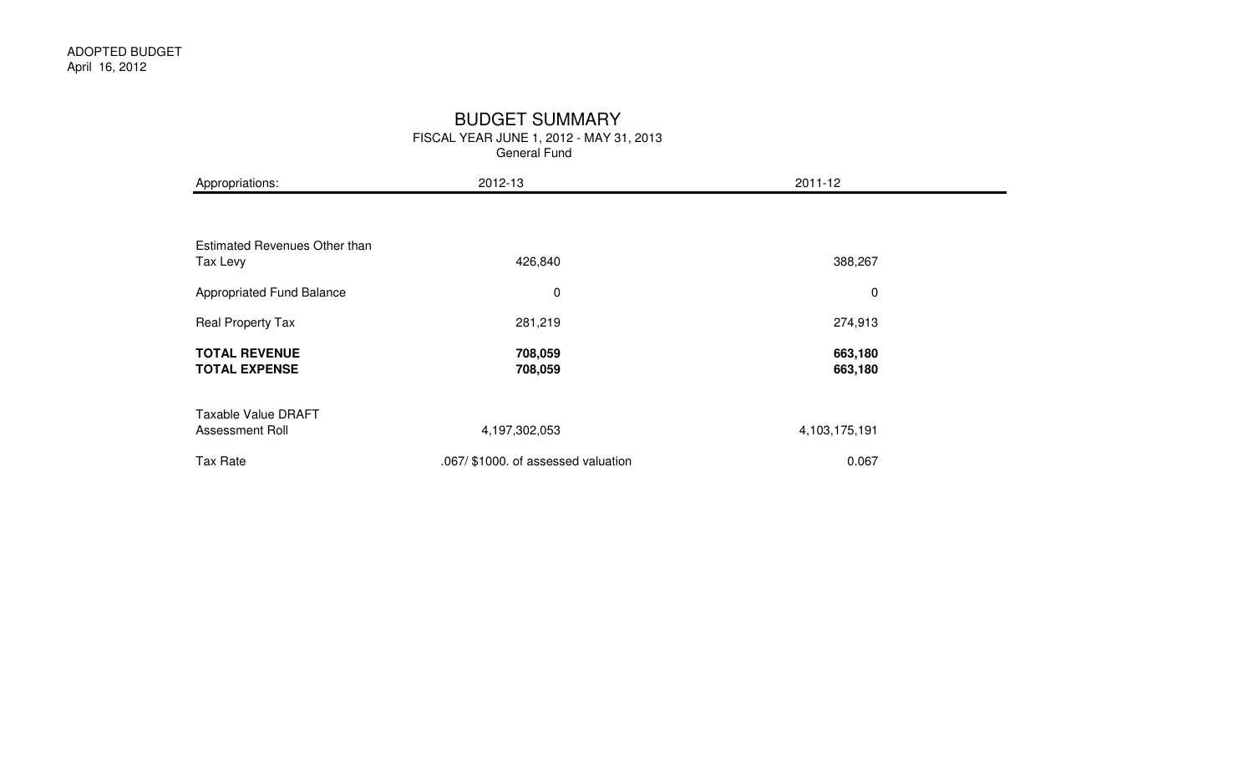#### BUDGET SUMMARY

|                                                  | FISCAL YEAR JUNE 1, 2012 - MAY 31, 2013<br>General Fund |                    |  |  |  |  |  |
|--------------------------------------------------|---------------------------------------------------------|--------------------|--|--|--|--|--|
| Appropriations:                                  | 2012-13                                                 | 2011-12            |  |  |  |  |  |
|                                                  |                                                         |                    |  |  |  |  |  |
| <b>Estimated Revenues Other than</b><br>Tax Levy | 426,840                                                 | 388,267            |  |  |  |  |  |
| Appropriated Fund Balance                        | $\pmb{0}$                                               | $\pmb{0}$          |  |  |  |  |  |
| Real Property Tax                                | 281,219                                                 | 274,913            |  |  |  |  |  |
| <b>TOTAL REVENUE</b><br><b>TOTAL EXPENSE</b>     | 708,059<br>708,059                                      | 663,180<br>663,180 |  |  |  |  |  |
| <b>Taxable Value DRAFT</b><br>Assessment Roll    | 4,197,302,053                                           | 4,103,175,191      |  |  |  |  |  |
| <b>Tax Rate</b>                                  | .067/ \$1000. of assessed valuation                     | 0.067              |  |  |  |  |  |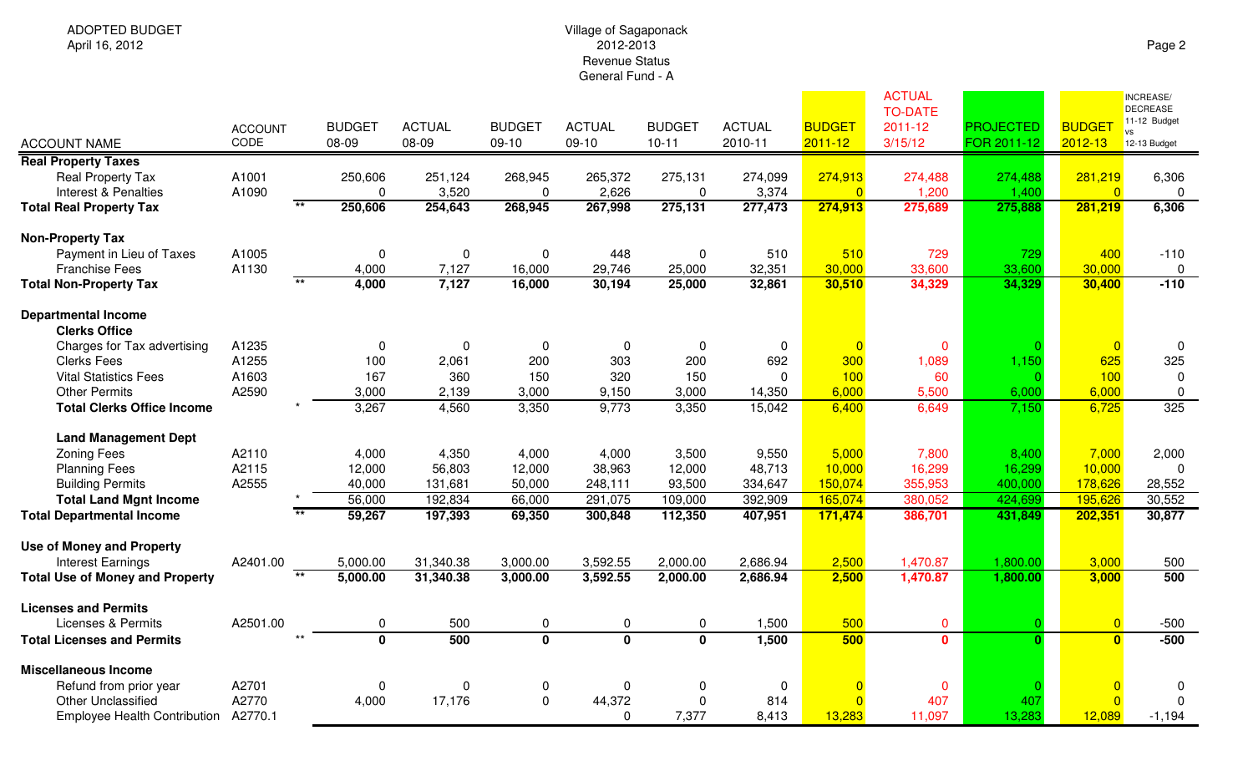## Village of Sagaponack 2012-2013 Revenue StatusGeneral Fund - A

| <b>ACCOUNT NAME</b>                                          | <b>ACCOUNT</b><br>CODE | <b>BUDGET</b><br>08-09 | <b>ACTUAL</b><br>08-09 | <b>BUDGET</b><br>09-10  | <b>ACTUAL</b><br>09-10  | <b>BUDGET</b><br>$10 - 11$ | <b>ACTUAL</b><br>2010-11 | <b>BUDGET</b><br>$2011 - 12$ | <b>ACTUAL</b><br><b>TO-DATE</b><br>2011-12<br>3/15/12 | <b>PROJECTED</b><br>FOR 2011-12 | <b>BUDGET</b><br>$2012 - 13$ | INCREASE/<br><b>DECREASE</b><br>11-12 Budget<br><b>VS</b><br>12-13 Budget |
|--------------------------------------------------------------|------------------------|------------------------|------------------------|-------------------------|-------------------------|----------------------------|--------------------------|------------------------------|-------------------------------------------------------|---------------------------------|------------------------------|---------------------------------------------------------------------------|
| <b>Real Property Taxes</b>                                   |                        |                        |                        |                         |                         |                            |                          |                              |                                                       |                                 |                              |                                                                           |
| Real Property Tax<br>Interest & Penalties                    | A1001<br>A1090         | 250,606<br>$\Omega$    | 251,124<br>3,520       | 268,945<br>$\Omega$     | 265,372<br>2,626        | 275,131<br>$\Omega$        | 274,099<br>3,374         | 274,913<br>$\overline{0}$    | 274,488<br>1,200                                      | 274,488<br>1,400                | 281,219<br>$\Omega$          | 6,306<br>0                                                                |
| <b>Total Real Property Tax</b>                               | $***$                  | 250,606                | 254,643                | 268,945                 | 267,998                 | 275,131                    | 277,473                  | 274,913                      | 275,689                                               | 275,888                         | 281,219                      | 6,306                                                                     |
| <b>Non-Property Tax</b>                                      |                        |                        |                        |                         |                         |                            |                          |                              |                                                       |                                 |                              |                                                                           |
| Payment in Lieu of Taxes                                     | A1005                  | $\mathbf 0$            | $\mathbf 0$            | $\mathbf 0$             | 448                     | $\mathbf 0$                | 510                      | 510                          | 729                                                   | 729                             | 400                          | $-110$                                                                    |
| <b>Franchise Fees</b>                                        | A1130                  | 4,000                  | 7,127                  | 16,000                  | 29,746                  | 25,000                     | 32,351                   | 30,000                       | 33,600                                                | 33,600                          | 30,000                       | 0                                                                         |
| <b>Total Non-Property Tax</b>                                | $**$                   | 4,000                  | 7,127                  | 16,000                  | 30,194                  | 25,000                     | 32,861                   | 30,510                       | 34,329                                                | 34,329                          | 30,400                       | $-110$                                                                    |
| <b>Departmental Income</b><br><b>Clerks Office</b>           |                        |                        |                        |                         |                         |                            |                          |                              |                                                       |                                 |                              |                                                                           |
| Charges for Tax advertising                                  | A1235                  | $\Omega$               | 0                      | 0                       | 0                       | 0                          | $\pmb{0}$                | $\overline{0}$               | $\mathbf{0}$                                          |                                 |                              | 0                                                                         |
| <b>Clerks Fees</b>                                           | A1255                  | 100                    | 2,061                  | 200                     | 303                     | 200                        | 692                      | 300                          | 1,089                                                 | 1,150                           | 625                          | 325                                                                       |
| <b>Vital Statistics Fees</b>                                 | A1603                  | 167                    | 360                    | 150                     | 320                     | 150                        | $\mathbf 0$              | 100                          | 60                                                    |                                 | 100                          | $\Omega$                                                                  |
| <b>Other Permits</b>                                         | A2590                  | 3,000                  | 2,139                  | 3,000                   | 9,150                   | 3,000                      | 14,350                   | 6,000                        | 5,500                                                 | 6,000                           | 6,000                        | 0                                                                         |
| <b>Total Clerks Office Income</b>                            |                        | 3,267                  | 4,560                  | 3,350                   | 9,773                   | 3,350                      | 15,042                   | 6,400                        | 6,649                                                 | 7,150                           | 6,725                        | 325                                                                       |
| <b>Land Management Dept</b>                                  |                        |                        |                        |                         |                         |                            |                          |                              |                                                       |                                 |                              |                                                                           |
| <b>Zoning Fees</b>                                           | A2110                  | 4,000                  | 4,350                  | 4,000                   | 4,000                   | 3,500                      | 9,550                    | 5,000                        | 7,800                                                 | 8,400                           | 7,000                        | 2,000                                                                     |
| <b>Planning Fees</b>                                         | A2115                  | 12,000                 | 56,803                 | 12,000                  | 38,963                  | 12,000                     | 48,713                   | 10,000                       | 16,299                                                | 16,299                          | 10,000                       | $\Omega$                                                                  |
| <b>Building Permits</b>                                      | A2555                  | 40,000                 | 131,681                | 50,000                  | 248,111                 | 93,500                     | 334,647                  | 150,074                      | 355,953                                               | 400,000                         | 178,626                      | 28,552                                                                    |
| <b>Total Land Mgnt Income</b>                                |                        | 56,000                 | 192,834                | 66,000                  | 291,075                 | 109,000                    | 392,909                  | 165,074                      | 380,052                                               | 424,699                         | 195,626                      | 30,552                                                                    |
| <b>Total Departmental Income</b>                             |                        | 59,267                 | 197,393                | 69,350                  | 300,848                 | 112,350                    | 407,951                  | 171,474                      | 386,701                                               | 431,849                         | 202,351                      | 30,877                                                                    |
| <b>Use of Money and Property</b><br><b>Interest Earnings</b> | A2401.00               | 5,000.00               | 31,340.38              | 3,000.00                | 3,592.55                | 2,000.00                   | 2,686.94                 | 2,500                        | 1,470.87                                              | 1,800.00                        | 3,000                        | 500                                                                       |
| <b>Total Use of Money and Property</b>                       | $***$                  | 5,000.00               | 31,340.38              | 3,000.00                | 3,592.55                | 2,000.00                   | 2,686.94                 | 2,500                        | 1,470.87                                              | 1,800.00                        | 3,000                        | 500                                                                       |
|                                                              |                        |                        |                        |                         |                         |                            |                          |                              |                                                       |                                 |                              |                                                                           |
| <b>Licenses and Permits</b>                                  |                        |                        |                        |                         |                         |                            |                          |                              |                                                       |                                 |                              |                                                                           |
| <b>Licenses &amp; Permits</b>                                | A2501.00               | 0                      | 500                    | $\mathbf 0$             | 0                       | $\mathbf 0$                | 1,500                    | 500                          | $\mathbf{0}$                                          | $\Omega$                        | $\Omega$                     | $-500$                                                                    |
| <b>Total Licenses and Permits</b>                            |                        | $\Omega$               | 500                    | $\overline{\mathbf{0}}$ | $\overline{\mathbf{0}}$ | $\overline{\mathbf{0}}$    | 1,500                    | 500                          | $\mathbf{0}$                                          | $\Omega$                        | $\Omega$                     | $-500$                                                                    |
| <b>Miscellaneous Income</b>                                  |                        |                        |                        |                         |                         |                            |                          |                              |                                                       |                                 |                              |                                                                           |
| Refund from prior year                                       | A2701                  | 0                      | $\mathbf 0$            | $\boldsymbol{0}$        | 0                       | 0                          | $\mathbf 0$              |                              | $\mathbf{0}$                                          |                                 |                              | $\Omega$                                                                  |
| <b>Other Unclassified</b>                                    | A2770                  | 4,000                  | 17,176                 | $\mathbf 0$             | 44,372                  | $\mathbf 0$                | 814                      |                              | 407                                                   | 407                             | $\Omega$                     |                                                                           |
| <b>Employee Health Contribution</b>                          | A2770.1                |                        |                        |                         | $\Omega$                | 7,377                      | 8,413                    | 13,283                       | 11,097                                                | 13,283                          | 12,089                       | $-1,194$                                                                  |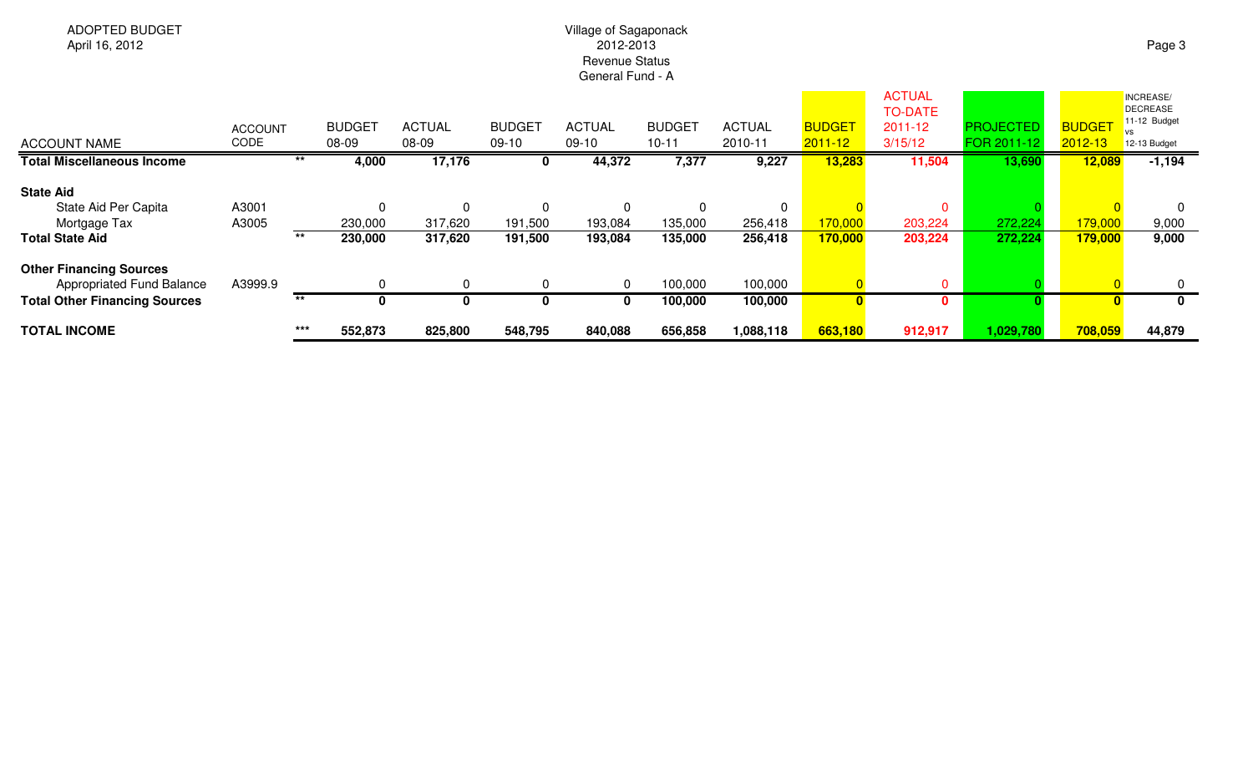## Village of Sagaponack 2012-2013 Revenue StatusGeneral Fund - A

| <b>ACCOUNT NAME</b>                  | <b>ACCOUNT</b><br><b>CODE</b> |       | <b>BUDGET</b><br>08-09 | <b>ACTUAL</b><br>08-09 | <b>BUDGET</b><br>$09-10$ | <b>ACTUAL</b><br>$09-10$ | <b>BUDGET</b><br>$10 - 11$ | <b>ACTUAL</b><br>2010-11 | <b>BUDGE</b><br>$2011 - 12$ | <b>ACTUAL</b><br><b>TO-DATE</b><br>2011-12<br>3/15/12 | <b>PROJECTED</b><br>FOR 2011-12 | <b>BUDGET</b><br>$2012 - 13$ | INCREASE/<br><b>DECREASE</b><br>11-12 Budget<br>VS<br>12-13 Budget |
|--------------------------------------|-------------------------------|-------|------------------------|------------------------|--------------------------|--------------------------|----------------------------|--------------------------|-----------------------------|-------------------------------------------------------|---------------------------------|------------------------------|--------------------------------------------------------------------|
| <b>Total Miscellaneous Income</b>    |                               | $***$ | 4,000                  | 17,176                 | 0                        | 44,372                   | 7,377                      | 9,227                    | 13,283                      | 11,504                                                | 13,690                          | 12,089                       | $-1,194$                                                           |
| <b>State Aid</b>                     |                               |       |                        |                        |                          |                          |                            |                          |                             |                                                       |                                 |                              |                                                                    |
| State Aid Per Capita                 | A3001                         |       |                        | $\Omega$               | $\Omega$                 | 0                        |                            | 0                        |                             | $\mathbf{0}$                                          |                                 |                              |                                                                    |
| Mortgage Tax                         | A3005                         |       | 230,000                | 317,620                | 191,500                  | 193,084                  | 135,000                    | 256,418                  | 170,000                     | 203,224                                               | 272,224                         | 179,000                      | 9,000                                                              |
| <b>Total State Aid</b>               |                               | $***$ | 230,000                | 317,620                | 191,500                  | 193,084                  | 135,000                    | 256,418                  | 170,000                     | 203,224                                               | 272,224                         | 179,000                      | 9,000                                                              |
| <b>Other Financing Sources</b>       |                               |       |                        |                        |                          |                          |                            |                          |                             |                                                       |                                 |                              |                                                                    |
| Appropriated Fund Balance            | A3999.9                       |       |                        | $\Omega$               | $\mathbf 0$              | 0                        | 100,000                    | 100,000                  |                             | $\mathbf{0}$                                          |                                 |                              |                                                                    |
| <b>Total Other Financing Sources</b> |                               | $***$ | $\Omega$               | 0                      | 0                        | $\mathbf 0$              | 100,000                    | 100,000                  |                             | $\mathbf{0}$                                          |                                 |                              | 0                                                                  |
| <b>TOTAL INCOME</b>                  |                               | $***$ | 552,873                | 825,800                | 548,795                  | 840,088                  | 656,858                    | 1,088,118                | 663,180                     | 912,917                                               | 1,029,780                       | 708,059                      | 44,879                                                             |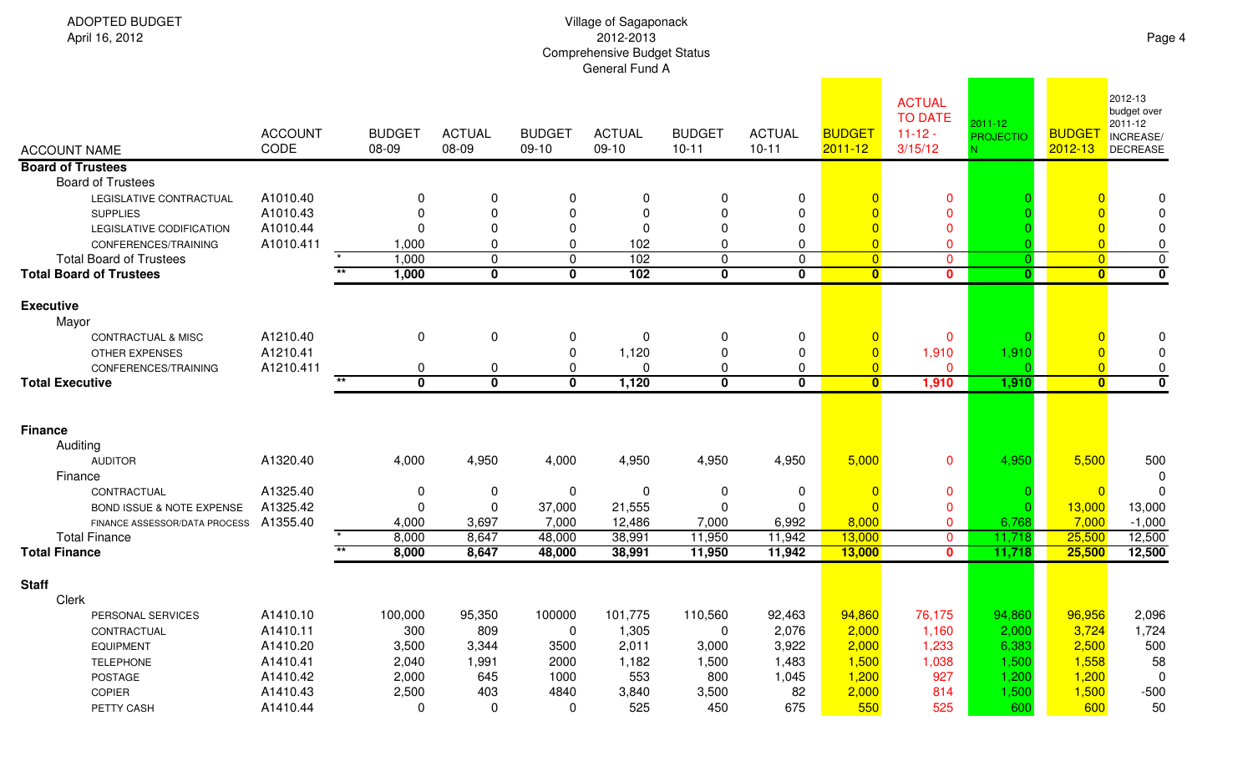| <b>ADOPTED BUDGET</b><br>April 16, 2012          | Village of Sagaponack<br>2012-2013<br><b>Comprehensive Budget Status</b><br>General Fund A |                        |                          |                          |                          |                            |                            |                              |                                                        |                             |                             |                                                                   |
|--------------------------------------------------|--------------------------------------------------------------------------------------------|------------------------|--------------------------|--------------------------|--------------------------|----------------------------|----------------------------|------------------------------|--------------------------------------------------------|-----------------------------|-----------------------------|-------------------------------------------------------------------|
| <b>ACCOUNT NAME</b>                              | <b>ACCOUNT</b><br>CODE                                                                     | <b>BUDGET</b><br>08-09 | <b>ACTUAL</b><br>08-09   | <b>BUDGET</b><br>$09-10$ | <b>ACTUAL</b><br>$09-10$ | <b>BUDGET</b><br>$10 - 11$ | <b>ACTUAL</b><br>$10 - 11$ | <b>BUDGET</b><br>$2011 - 12$ | <b>ACTUAL</b><br><b>TO DATE</b><br>$11-12-$<br>3/15/12 | 2011-12<br><b>PROJECTIO</b> | <b>BUDGE</b><br>$2012 - 13$ | 2012-13<br>budget over<br>2011-12<br>INCREASE/<br><b>DECREASE</b> |
| <b>Board of Trustees</b>                         |                                                                                            |                        |                          |                          |                          |                            |                            |                              |                                                        |                             |                             |                                                                   |
| <b>Board of Trustees</b>                         |                                                                                            |                        |                          |                          |                          |                            |                            |                              |                                                        |                             |                             |                                                                   |
| LEGISLATIVE CONTRACTUAL                          | A1010.40                                                                                   |                        | $\pmb{0}$                | 0                        | 0                        | 0                          | $\boldsymbol{0}$           |                              | $\mathbf 0$                                            |                             |                             | 0                                                                 |
| <b>SUPPLIES</b>                                  | A1010.43                                                                                   |                        | $\pmb{0}$                | 0<br>0                   | $\Omega$                 | 0<br>$\mathbf{0}$          | $\mathbf 0$                |                              | $\mathbf 0$<br>$\overline{0}$                          |                             |                             |                                                                   |
| LEGISLATIVE CODIFICATION<br>CONFERENCES/TRAINING | A1010.44<br>A1010.411                                                                      | 1,000                  | $\pmb{0}$<br>$\mathbf 0$ | $\Omega$                 | 0<br>102                 | $\mathbf{0}$               | $\mathbf 0$<br>$\mathbf 0$ | $\Omega$                     | $\Omega$                                               |                             | $\Omega$                    | 0                                                                 |
| <b>Total Board of Trustees</b>                   |                                                                                            | 1,000                  | $\mathbf 0$              | $\mathbf 0$              | 102                      | $\mathbf 0$                | $\mathbf 0$                | $\overline{0}$               | $\mathbf 0$                                            | $\Omega$                    | $\overline{0}$              | $\mathbf 0$                                                       |
| <b>Total Board of Trustees</b>                   |                                                                                            | $\star\star$<br>1,000  | $\mathbf 0$              | $\mathbf 0$              | 102                      | $\mathbf 0$                | $\mathbf 0$                | $\overline{\mathbf{0}}$      | $\bf{0}$                                               | $\Omega$                    | $\overline{0}$              | $\mathbf 0$                                                       |
|                                                  |                                                                                            |                        |                          |                          |                          |                            |                            |                              |                                                        |                             |                             |                                                                   |
| <b>Executive</b><br>Mayor                        |                                                                                            |                        |                          |                          |                          |                            |                            |                              |                                                        |                             |                             |                                                                   |
| <b>CONTRACTUAL &amp; MISC</b>                    | A1210.40                                                                                   | 0                      | 0                        | 0                        | $\mathbf 0$              | 0                          | $\boldsymbol{0}$           |                              | $\mathbf 0$                                            |                             |                             | 0                                                                 |
| OTHER EXPENSES                                   | A1210.41                                                                                   |                        |                          | 0                        | 1,120                    | $\mathbf 0$                | $\mathbf 0$                | $\overline{0}$               | 1,910                                                  | 1,910                       |                             | ∩                                                                 |
| CONFERENCES/TRAINING                             | A1210.411                                                                                  | 0                      | $\pmb{0}$                | $\Omega$                 | 0                        | 0                          | $\mathbf 0$                | $\Omega$                     | $\Omega$                                               |                             | $\overline{0}$              | 0                                                                 |
| <b>Total Executive</b>                           |                                                                                            | $***$<br>$\mathbf 0$   | $\overline{\mathbf{0}}$  | $\mathbf 0$              | 1,120                    | $\mathbf 0$                | $\mathbf 0$                | $\overline{\mathbf{0}}$      | 1,910                                                  | 1,910                       | $\overline{0}$              | $\mathbf 0$                                                       |
|                                                  |                                                                                            |                        |                          |                          |                          |                            |                            |                              |                                                        |                             |                             |                                                                   |
|                                                  |                                                                                            |                        |                          |                          |                          |                            |                            |                              |                                                        |                             |                             |                                                                   |
| <b>Finance</b>                                   |                                                                                            |                        |                          |                          |                          |                            |                            |                              |                                                        |                             |                             |                                                                   |
| Auditing<br><b>AUDITOR</b>                       | A1320.40                                                                                   | 4,000                  | 4,950                    | 4,000                    | 4,950                    | 4,950                      | 4,950                      | 5,000                        | $\mathbf 0$                                            | 4,950                       | 5,500                       | 500                                                               |
| Finance                                          |                                                                                            |                        |                          |                          |                          |                            |                            |                              |                                                        |                             |                             | -0                                                                |
| CONTRACTUAL                                      | A1325.40                                                                                   | 0                      | 0                        | 0                        | 0                        | 0                          | $\boldsymbol{0}$           | $\overline{0}$               | $\mathbf{0}$                                           |                             | $\overline{0}$              | $\Omega$                                                          |
| BOND ISSUE & NOTE EXPENSE                        | A1325.42                                                                                   | $\Omega$               | $\pmb{0}$                | 37,000                   | 21,555                   | 0                          | 0                          | $\Omega$                     | $\mathbf 0$                                            |                             | 13,000                      | 13,000                                                            |
| FINANCE ASSESSOR/DATA PROCESS                    | A1355.40                                                                                   | 4,000                  | 3,697                    | 7,000                    | 12,486                   | 7,000                      | 6,992                      | 8,000                        | $\mathbf 0$                                            | 6,768                       | 7,000                       | $-1,000$                                                          |
| <b>Total Finance</b>                             |                                                                                            | 8,000                  | 8,647                    | 48,000                   | 38,991                   | 11,950                     | 11,942                     | 13,000                       | $\mathbf 0$                                            | 11,718                      | 25,500                      | 12,500                                                            |
| <b>Total Finance</b>                             |                                                                                            | $\star\star$<br>8,000  | 8,647                    | 48,000                   | 38,991                   | 11,950                     | 11,942                     | 13,000                       | $\mathbf{0}$                                           | 11,718                      | 25,500                      | 12,500                                                            |
|                                                  |                                                                                            |                        |                          |                          |                          |                            |                            |                              |                                                        |                             |                             |                                                                   |
| <b>Staff</b><br>Clerk                            |                                                                                            |                        |                          |                          |                          |                            |                            |                              |                                                        |                             |                             |                                                                   |
| PERSONAL SERVICES                                | A1410.10                                                                                   | 100,000                | 95,350                   | 100000                   | 101,775                  | 110,560                    | 92,463                     | 94,860                       | 76,175                                                 | 94,860                      | 96,956                      | 2,096                                                             |
| CONTRACTUAL                                      | A1410.11                                                                                   | 300                    | 809                      | $\mathbf 0$              | 1,305                    | $\mathbf 0$                | 2,076                      | 2,000                        | 1,160                                                  | 2,000                       | 3,724                       | 1,724                                                             |
| <b>EQUIPMENT</b>                                 | A1410.20                                                                                   | 3,500                  | 3,344                    | 3500                     | 2,011                    | 3,000                      | 3,922                      | 2,000                        | 1,233                                                  | 6,383                       | 2,500                       | 500                                                               |
| <b>TELEPHONE</b>                                 | A1410.41                                                                                   | 2,040                  | 1,991                    | 2000                     | 1,182                    | 1,500                      | 1,483                      | 1,500                        | 1,038                                                  | 1,500                       | 1,558                       | 58                                                                |
| POSTAGE                                          | A1410.42                                                                                   | 2,000                  | 645                      | 1000                     | 553                      | 800                        | 1,045                      | 1,200                        | 927                                                    | 1,200                       | 1,200                       | 0                                                                 |
| COPIER                                           | A1410.43                                                                                   | 2,500                  | 403                      | 4840                     | 3,840                    | 3,500                      | 82                         | 2,000                        | 814                                                    | 1,500                       | 1,500                       | $-500$                                                            |
| PETTY CASH                                       | A1410.44                                                                                   | 0                      | $\mathbf 0$              | 0                        | 525                      | 450                        | 675                        | 550                          | 525                                                    | 600                         | 600                         | 50                                                                |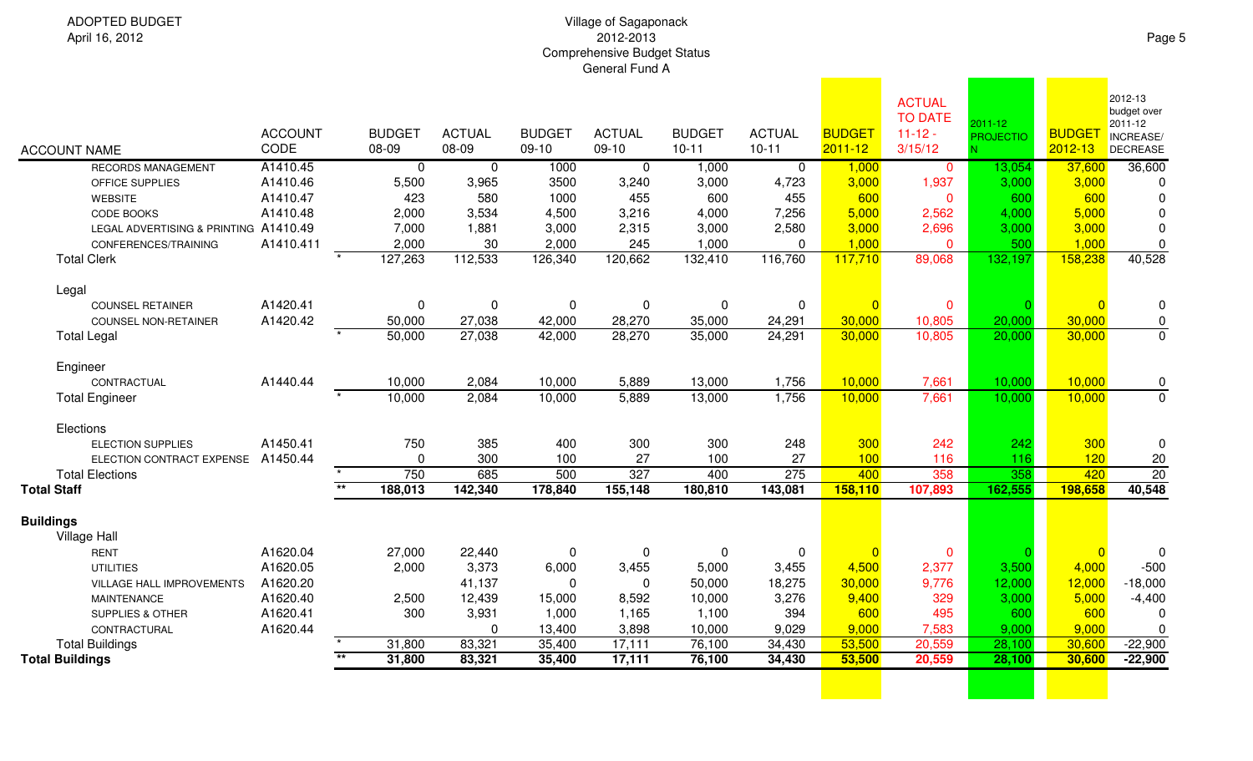| <b>ACCOUNT NAME</b>                   | <b>ACCOUNT</b><br>CODE |                          | <b>BUDGET</b><br>08-09 | <b>ACTUAL</b><br>08-09 | <b>BUDGET</b><br>$09-10$ | <b>ACTUAL</b><br>$09-10$ | <b>BUDGET</b><br>$10 - 11$ | <b>ACTUAL</b><br>$10 - 11$ | <b>BUDGET</b><br>$2011 - 12$ | <b>ACTUAL</b><br><b>TO DATE</b><br>$11 - 12 -$<br>3/15/12 | $2011 - 12$<br><b>PROJECTIO</b> | <b>BUDGE</b><br>$2012 - 13$ | 2012-13<br>budget over<br>2011-12<br>INCREASE/<br><b>DECREASE</b> |
|---------------------------------------|------------------------|--------------------------|------------------------|------------------------|--------------------------|--------------------------|----------------------------|----------------------------|------------------------------|-----------------------------------------------------------|---------------------------------|-----------------------------|-------------------------------------------------------------------|
| <b>RECORDS MANAGEMENT</b>             | A1410.45               |                          | $\mathbf 0$            | $\mathbf{0}$           | 1000                     | $\overline{0}$           | 1,000                      | $\overline{0}$             | 1,000                        | $\mathbf 0$                                               | 13,054                          | 37,600                      | 36,600                                                            |
| OFFICE SUPPLIES                       | A1410.46               |                          | 5,500                  | 3,965                  | 3500                     | 3,240                    | 3,000                      | 4,723                      | 3,000                        | 1,937                                                     | 3,000                           | 3,000                       | 0                                                                 |
| <b>WEBSITE</b>                        | A1410.47               |                          | 423                    | 580                    | 1000                     | 455                      | 600                        | 455                        | 600                          | $\mathbf 0$                                               | 600                             | 600                         | $\mathbf 0$                                                       |
| <b>CODE BOOKS</b>                     | A1410.48               |                          | 2,000                  | 3,534                  | 4,500                    | 3,216                    | 4,000                      | 7,256                      | 5,000                        | 2,562                                                     | 4,000                           | 5,000                       | $\mathbf 0$                                                       |
| LEGAL ADVERTISING & PRINTING A1410.49 |                        |                          | 7,000                  | 1,881                  | 3,000                    | 2,315                    | 3,000                      | 2,580                      | 3,000                        | 2,696                                                     | 3,000                           | 3,000                       | $\mathbf 0$                                                       |
| CONFERENCES/TRAINING                  | A1410.411              |                          | 2,000                  | 30                     | 2,000                    | 245                      | 1,000                      | $\Omega$                   | 1,000                        | $\mathbf{0}$                                              | 500                             | 1,000                       | $\pmb{0}$                                                         |
| <b>Total Clerk</b>                    |                        |                          | 127,263                | 112,533                | 126,340                  | 120,662                  | 132,410                    | 116,760                    | 117,710                      | 89,068                                                    | 132,197                         | 158,238                     | 40,528                                                            |
| Legal                                 |                        |                          |                        |                        |                          |                          |                            |                            |                              |                                                           |                                 |                             |                                                                   |
| <b>COUNSEL RETAINER</b>               | A1420.41               |                          | $\pmb{0}$              | 0                      | $\mathbf 0$              | $\mathbf 0$              | 0                          | $\mathbf 0$                |                              | $\mathbf{0}$                                              |                                 | $\overline{0}$              | $\mathbf 0$                                                       |
| <b>COUNSEL NON-RETAINER</b>           | A1420.42               |                          | 50,000                 | 27,038                 | 42,000                   | 28,270                   | 35,000                     | 24,291                     | 30,000                       | 10,805                                                    | 20,000                          | 30,000                      | $\pmb{0}$                                                         |
| <b>Total Legal</b>                    |                        |                          | 50,000                 | 27,038                 | 42,000                   | 28,270                   | 35,000                     | 24,291                     | 30,000                       | 10,805                                                    | 20,000                          | 30,000                      | $\overline{0}$                                                    |
| Engineer                              |                        |                          |                        |                        |                          |                          |                            |                            |                              |                                                           |                                 |                             |                                                                   |
| CONTRACTUAL                           | A1440.44               |                          | 10,000                 | 2,084                  | 10,000                   | 5,889                    | 13,000                     | 1,756                      | 10,000                       | 7,661                                                     | 10,000                          | 10,000                      | $\boldsymbol{0}$                                                  |
| <b>Total Engineer</b>                 |                        |                          | 10,000                 | 2,084                  | 10,000                   | 5,889                    | 13,000                     | 1,756                      | 10,000                       | 7,661                                                     | 10,000                          | 10,000                      | $\overline{0}$                                                    |
| Elections                             |                        |                          |                        |                        |                          |                          |                            |                            |                              |                                                           |                                 |                             |                                                                   |
| <b>ELECTION SUPPLIES</b>              | A1450.41               |                          | 750                    | 385                    | 400                      | 300                      | 300                        | 248                        | 300                          | 242                                                       | 242                             | 300                         | $\mathbf 0$                                                       |
| ELECTION CONTRACT EXPENSE             | A1450.44               |                          | 0                      | 300                    | 100                      | 27                       | 100                        | 27                         | 100                          | 116                                                       | 116                             | 120                         | 20                                                                |
| <b>Total Elections</b>                |                        |                          | 750                    | 685                    | 500                      | 327                      | 400                        | 275                        | 400                          | 358                                                       | 358                             | 420                         | $\overline{20}$                                                   |
| <b>Total Staff</b>                    |                        | $**$                     | 188,013                | 142,340                | 178,840                  | 155,148                  | 180,810                    | 143,081                    | 158,110                      | 107,893                                                   | 162,555                         | 198,658                     | 40,548                                                            |
| <b>Buildings</b><br>Village Hall      |                        |                          |                        |                        |                          |                          |                            |                            |                              |                                                           |                                 |                             |                                                                   |
| <b>RENT</b>                           | A1620.04               |                          | 27,000                 | 22,440                 | 0                        | 0                        | $\Omega$                   | 0                          |                              | $\mathbf 0$                                               |                                 | $\overline{0}$              | $\mathbf 0$                                                       |
| <b>UTILITIES</b>                      | A1620.05               |                          | 2,000                  | 3,373                  | 6,000                    | 3,455                    | 5,000                      | 3,455                      | 4,500                        | 2,377                                                     | 3,500                           | 4,000                       | $-500$                                                            |
| VILLAGE HALL IMPROVEMENTS             | A1620.20               |                          |                        | 41,137                 | $\Omega$                 | $\mathbf 0$              | 50,000                     | 18,275                     | 30,000                       | 9,776                                                     | 12,000                          | 12,000                      | $-18,000$                                                         |
| <b>MAINTENANCE</b>                    | A1620.40               |                          | 2,500                  | 12,439                 | 15,000                   | 8,592                    | 10,000                     | 3,276                      | 9,400                        | 329                                                       | 3,000                           | 5,000                       | $-4,400$                                                          |
| <b>SUPPLIES &amp; OTHER</b>           | A1620.41               |                          | 300                    | 3,931                  | 1,000                    | 1,165                    | 1,100                      | 394                        | 600                          | 495                                                       | 600                             | 600                         | $\mathbf 0$                                                       |
| CONTRACTURAL                          | A1620.44               |                          |                        | 0                      | 13,400                   | 3,898                    | 10,000                     | 9,029                      | 9,000                        | 7,583                                                     | 9,000                           | 9,000                       | $\mathbf 0$                                                       |
| <b>Total Buildings</b>                |                        |                          | 31,800                 | 83,321                 | 35,400                   | 17,111                   | 76,100                     | 34,430                     | 53,500                       | 20,559                                                    | 28,100                          | 30,600                      | $-22,900$                                                         |
| <b>Total Buildings</b>                |                        | $\overline{\phantom{0}}$ | 31,800                 | 83,321                 | 35,400                   | 17,111                   | 76,100                     | 34,430                     | 53,500                       | 20,559                                                    | 28,100                          | 30,600                      | $-22,900$                                                         |
|                                       |                        |                          |                        |                        |                          |                          |                            |                            |                              |                                                           |                                 |                             |                                                                   |
|                                       |                        |                          |                        |                        |                          |                          |                            |                            |                              |                                                           |                                 |                             |                                                                   |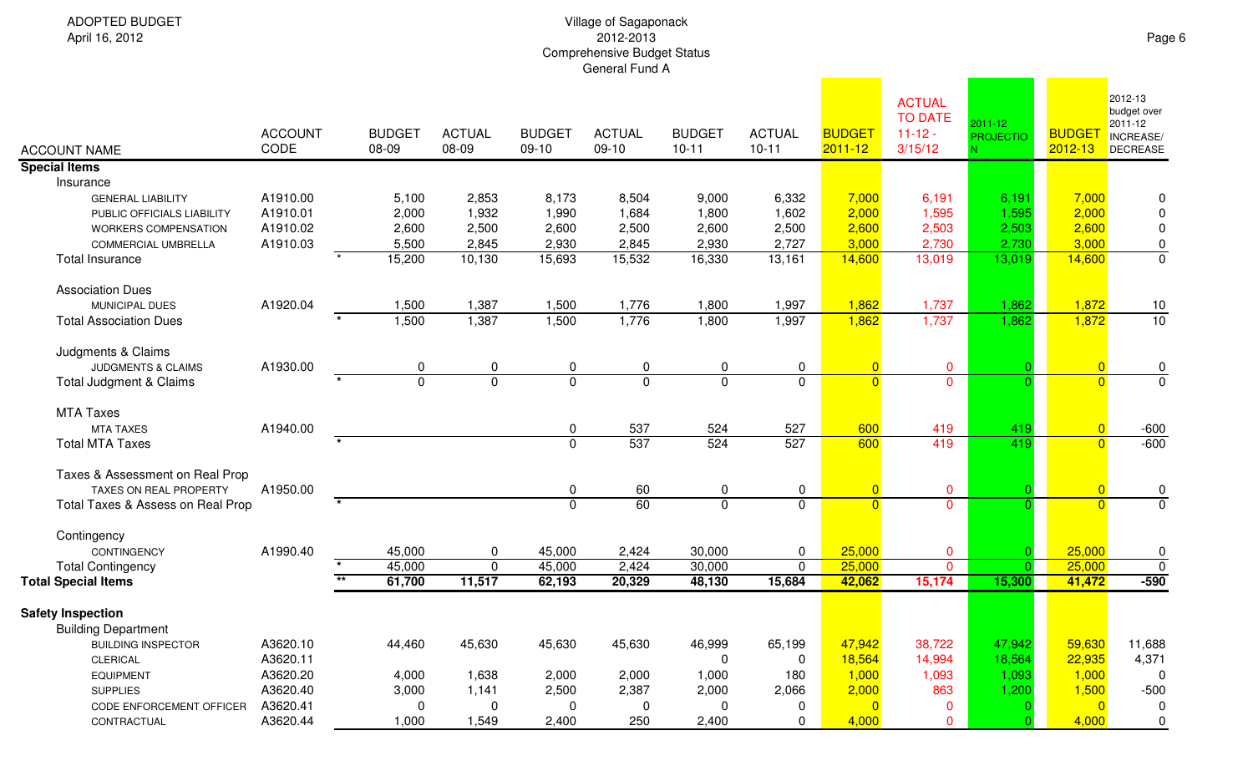| <b>ACCOUNT NAME</b>               | <b>ACCOUNT</b><br>CODE | <b>BUDGET</b><br>08-09 | <b>ACTUAL</b><br>08-09 | <b>BUDGET</b><br>$09-10$ | <b>ACTUAL</b><br>$09-10$ | <b>BUDGET</b><br>$10 - 11$ | <b>ACTUAL</b><br>$10 - 11$ | <b>BUDGET</b><br>$2011 - 12$ | <b>ACTUAL</b><br><b>TO DATE</b><br>$11 - 12 -$<br>3/15/12 | $2011 - 12$<br><b>PROJECTIO</b> | <b>BUDGET</b><br>2012-13 | 2012-13<br>budget over<br>2011-12<br>INCREASE/<br><b>DECREASE</b> |
|-----------------------------------|------------------------|------------------------|------------------------|--------------------------|--------------------------|----------------------------|----------------------------|------------------------------|-----------------------------------------------------------|---------------------------------|--------------------------|-------------------------------------------------------------------|
| <b>Special Items</b>              |                        |                        |                        |                          |                          |                            |                            |                              |                                                           |                                 |                          |                                                                   |
| Insurance                         |                        |                        |                        |                          |                          |                            |                            |                              |                                                           |                                 |                          |                                                                   |
| <b>GENERAL LIABILITY</b>          | A1910.00               | 5,100                  | 2,853                  | 8,173                    | 8,504                    | 9,000                      | 6,332                      | 7,000                        | 6,191                                                     | 6,191                           | 7,000                    | 0                                                                 |
| PUBLIC OFFICIALS LIABILITY        | A1910.01               | 2,000                  | 1,932                  | 1,990                    | 1,684                    | 1,800                      | 1,602                      | 2,000                        | 1,595                                                     | 1,595                           | 2,000                    | $\pmb{0}$                                                         |
| WORKERS COMPENSATION              | A1910.02               | 2,600                  | 2,500                  | 2,600                    | 2,500                    | 2,600                      | 2,500                      | 2,600                        | 2,503                                                     | 2,503                           | 2,600                    | $\pmb{0}$                                                         |
| <b>COMMERCIAL UMBRELLA</b>        | A1910.03               | 5,500                  | 2,845                  | 2,930                    | 2,845                    | 2,930                      | 2,727                      | 3,000                        | 2,730                                                     | 2,730                           | 3,000                    | $\pmb{0}$                                                         |
| <b>Total Insurance</b>            |                        | 15,200                 | 10,130                 | 15,693                   | 15,532                   | 16,330                     | 13,161                     | 14,600                       | 13,019                                                    | 13,019                          | 14,600                   | $\overline{0}$                                                    |
| <b>Association Dues</b>           |                        |                        |                        |                          |                          |                            |                            |                              |                                                           |                                 |                          |                                                                   |
| <b>MUNICIPAL DUES</b>             | A1920.04               | 1,500                  | 1,387                  | 1,500                    | 1,776                    | 1,800                      | 1,997                      | 1,862                        | 1,737                                                     | 1,862                           | 1,872                    |                                                                   |
| <b>Total Association Dues</b>     |                        | 1,500                  | 1,387                  | 1,500                    | 1,776                    | 1,800                      | 1,997                      | 1,862                        | 1,737                                                     | 1,862                           | 1,872                    | $\frac{10}{10}$                                                   |
| Judgments & Claims                |                        |                        |                        |                          |                          |                            |                            |                              |                                                           |                                 |                          |                                                                   |
| <b>JUDGMENTS &amp; CLAIMS</b>     | A1930.00               | 0                      | 0                      | 0                        | 0                        | 0                          | $\mathbf 0$                | $\overline{0}$               | $\mathbf 0$                                               |                                 | $\overline{0}$           | $\pmb{0}$                                                         |
| Total Judgment & Claims           |                        | $\overline{0}$         | $\mathbf 0$            | 0                        | $\mathbf 0$              | 0                          | $\mathbf 0$                | $\overline{0}$               | $\mathbf 0$                                               |                                 | $\overline{0}$           | $\overline{0}$                                                    |
| <b>MTA Taxes</b>                  |                        |                        |                        |                          |                          |                            |                            |                              |                                                           |                                 |                          |                                                                   |
| <b>MTA TAXES</b>                  | A1940.00               |                        |                        | 0                        | 537                      | 524                        | 527                        | 600                          | 419                                                       | 419                             | $\overline{0}$           | $-600$                                                            |
| <b>Total MTA Taxes</b>            |                        |                        |                        | $\mathbf{0}$             | 537                      | 524                        | 527                        | 600                          | 419                                                       | 419                             | $\overline{0}$           | $-600$                                                            |
| Taxes & Assessment on Real Prop   |                        |                        |                        |                          |                          |                            |                            |                              |                                                           |                                 |                          |                                                                   |
| TAXES ON REAL PROPERTY            | A1950.00               |                        |                        | 0                        | 60                       | 0                          | 0                          | $\overline{0}$               | $\mathbf 0$                                               |                                 | $\overline{0}$           | $\boldsymbol{0}$                                                  |
| Total Taxes & Assess on Real Prop |                        |                        |                        | $\mathbf{0}$             | 60                       | $\overline{0}$             | $\mathbf 0$                | $\overline{0}$               | $\mathbf 0$                                               |                                 | $\overline{0}$           | $\mathbf 0$                                                       |
| Contingency                       |                        |                        |                        |                          |                          |                            |                            |                              |                                                           |                                 |                          |                                                                   |
| CONTINGENCY                       | A1990.40               | 45,000                 | 0                      | 45,000                   | 2,424                    | 30,000                     | 0                          | 25,000                       | $\mathbf 0$                                               |                                 | 25,000                   | 0                                                                 |
| <b>Total Contingency</b>          |                        | 45,000                 | $\mathbf 0$            | 45,000                   | 2,424                    | 30,000                     | $\mathbf 0$                | 25,000                       | $\overline{0}$                                            |                                 | 25,000                   | $\mathbf 0$                                                       |
| <b>Total Special Items</b>        |                        | $***$<br>61,700        | 11,517                 | 62,193                   | 20,329                   | 48,130                     | 15,684                     | 42,062                       | 15,174                                                    | 15,300                          | 41,472                   | $-590$                                                            |
| <b>Safety Inspection</b>          |                        |                        |                        |                          |                          |                            |                            |                              |                                                           |                                 |                          |                                                                   |
| <b>Building Department</b>        |                        |                        |                        |                          |                          |                            |                            |                              |                                                           |                                 |                          |                                                                   |
| <b>BUILDING INSPECTOR</b>         | A3620.10               | 44,460                 | 45,630                 | 45,630                   | 45,630                   | 46,999                     | 65,199                     | 47,942                       | 38,722                                                    | 47,942                          | 59,630                   | 11,688                                                            |
| <b>CLERICAL</b>                   | A3620.11               |                        |                        |                          |                          | 0                          | 0                          | 18,564                       | 14,994                                                    | 18,564                          | 22,935                   | 4,371                                                             |
| <b>EQUIPMENT</b>                  | A3620.20               | 4,000                  | 1,638                  | 2,000                    | 2,000                    | 1,000                      | 180                        | 1,000                        | 1,093                                                     | 1,093                           | 1,000                    | 0                                                                 |
| <b>SUPPLIES</b>                   | A3620.40               | 3,000                  | 1,141                  | 2,500                    | 2,387                    | 2,000                      | 2,066                      | 2,000                        | 863                                                       | 1,200                           | 1,500                    | $-500$                                                            |
| CODE ENFORCEMENT OFFICER          | A3620.41               | 0                      | 0                      | 0                        | 0                        | 0                          | 0                          | $\overline{0}$               | $\mathbf 0$                                               |                                 | $\overline{0}$           | 0                                                                 |
| CONTRACTUAL                       | A3620.44               | 1,000                  | 1,549                  | 2,400                    | 250                      | 2,400                      | 0                          | 4,000                        | 0                                                         |                                 | 4,000                    | 0                                                                 |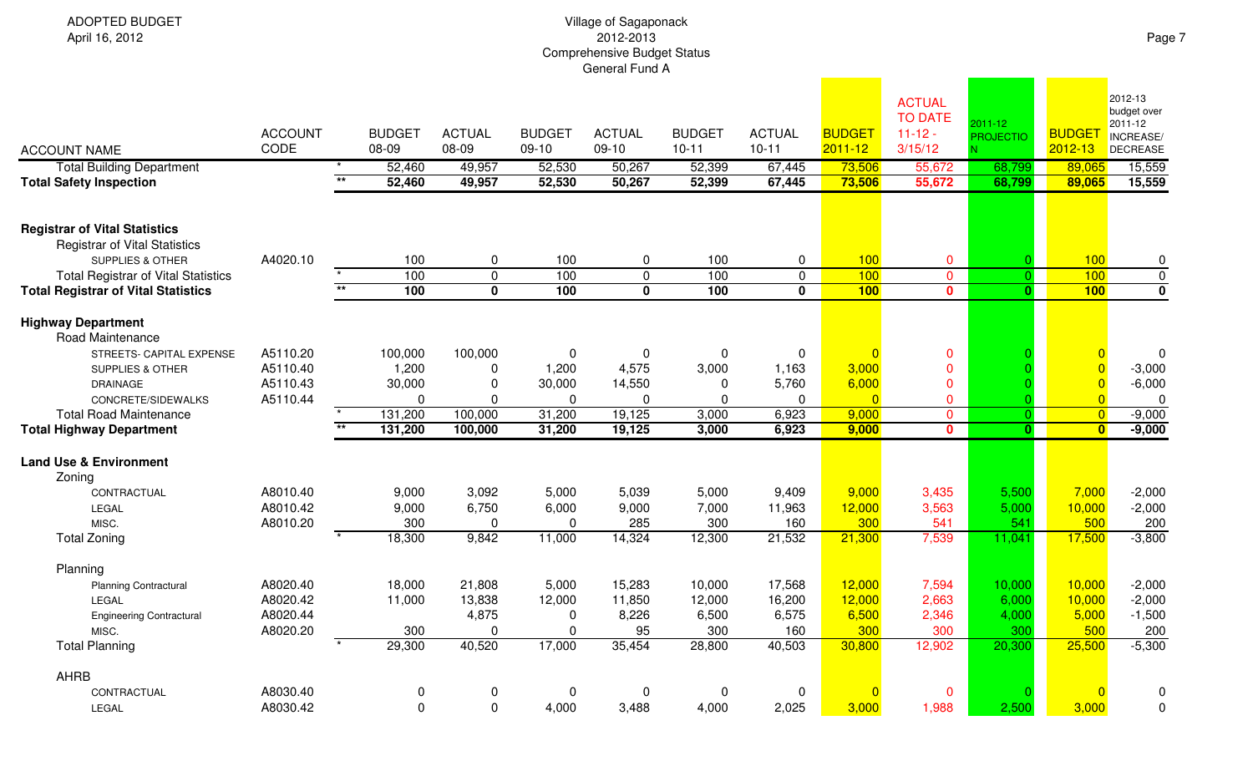ADOPTED BUDGETApril 16, 2012

| <b>ACCOUNT NAME</b><br><b>Total Building Department</b><br><b>Total Safety Inspection</b>                   | <b>ACCOUNT</b><br>CODE | $\overline{**}$ | <b>BUDGET</b><br>08-09<br>52,460<br>52,460 | <b>ACTUAL</b><br>08-09<br>49,957<br>49,957 | <b>BUDGET</b><br>$09-10$<br>52,530<br>52,530 | <b>ACTUAL</b><br>09-10<br>50,267<br>50,267 | <b>BUDGET</b><br>$10 - 11$<br>52,399<br>52,399 | <b>ACTUAL</b><br>$10 - 11$<br>67,445<br>67,445 | <b>BUDGET</b><br>$2011 - 12$<br>73,506<br>73,506 | <b>ACTUAL</b><br><b>TO DATE</b><br>$11 - 12 -$<br>3/15/12<br>55,672<br>55,672 | 2011-12<br><b>PROJECTIO</b><br>68,799<br>68,799 | <b>BUDGET</b><br>2012-13<br>89,065<br>89,065 | 2012-13<br>budget over<br>2011-12<br>INCREASE/<br><b>DECREASE</b><br>15,559<br>15,559 |
|-------------------------------------------------------------------------------------------------------------|------------------------|-----------------|--------------------------------------------|--------------------------------------------|----------------------------------------------|--------------------------------------------|------------------------------------------------|------------------------------------------------|--------------------------------------------------|-------------------------------------------------------------------------------|-------------------------------------------------|----------------------------------------------|---------------------------------------------------------------------------------------|
| <b>Registrar of Vital Statistics</b><br><b>Registrar of Vital Statistics</b><br><b>SUPPLIES &amp; OTHER</b> | A4020.10               |                 | 100                                        | 0                                          | 100                                          | $\mathbf 0$                                | 100                                            | $\mathbf 0$                                    | 100                                              | $\mathbf 0$                                                                   |                                                 | 100                                          | $\pmb{0}$                                                                             |
| <b>Total Registrar of Vital Statistics</b><br><b>Total Registrar of Vital Statistics</b>                    |                        | $\overline{**}$ | 100<br>100                                 | $\mathbf 0$<br>$\mathbf{0}$                | 100<br>100                                   | $\overline{0}$<br>$\overline{\mathbf{0}}$  | 100<br>100                                     | $\mathbf 0$<br>$\mathbf{0}$                    | 100<br>100                                       | $\overline{0}$<br>$\mathbf{0}$                                                | $\overline{0}$<br>O.                            | 100<br>100                                   | $\overline{0}$<br>$\overline{\mathfrak{o}}$                                           |
| <b>Highway Department</b><br>Road Maintenance                                                               |                        |                 |                                            |                                            |                                              |                                            |                                                |                                                |                                                  |                                                                               |                                                 |                                              |                                                                                       |
| STREETS- CAPITAL EXPENSE                                                                                    | A5110.20               |                 | 100,000                                    | 100,000                                    | 0                                            | 0                                          | 0                                              | $\Omega$                                       | $\overline{0}$                                   | $\mathbf 0$                                                                   |                                                 | $\Omega$                                     | $\mathbf{0}$                                                                          |
| SUPPLIES & OTHER                                                                                            | A5110.40               |                 | 1,200                                      | 0                                          | 1,200                                        | 4,575                                      | 3,000                                          | 1,163                                          | 3,000                                            | $\mathbf 0$                                                                   |                                                 | $\overline{0}$                               | $-3,000$                                                                              |
| <b>DRAINAGE</b>                                                                                             | A5110.43               |                 | 30,000                                     | $\mathbf 0$                                | 30,000                                       | 14,550                                     | $\mathbf 0$                                    | 5,760                                          | 6,000                                            | $\mathbf 0$                                                                   |                                                 | $\overline{0}$                               | $-6,000$                                                                              |
| CONCRETE/SIDEWALKS                                                                                          | A5110.44               |                 | 0                                          | $\mathbf 0$                                | $\mathbf 0$                                  | 0                                          | 0                                              | 0                                              | $\overline{0}$                                   | $\mathbf 0$                                                                   |                                                 | $\overline{0}$                               | $\mathbf 0$                                                                           |
| <b>Total Road Maintenance</b>                                                                               |                        |                 | 131,200                                    | 100,000                                    | 31,200                                       | 19,125                                     | 3,000                                          | 6,923                                          | 9,000                                            | $\overline{0}$                                                                | $\Omega$                                        | $\overline{0}$                               | $-9,000$                                                                              |
| <b>Total Highway Department</b>                                                                             |                        |                 | 131,200                                    | 100,000                                    | 31,200                                       | 19,125                                     | 3,000                                          | 6,923                                          | 9,000                                            | $\mathbf{0}$                                                                  | $\mathbf{0}$                                    | $\mathbf{0}$                                 | $-9,000$                                                                              |
| <b>Land Use &amp; Environment</b>                                                                           |                        |                 |                                            |                                            |                                              |                                            |                                                |                                                |                                                  |                                                                               |                                                 |                                              |                                                                                       |
| Zoning                                                                                                      |                        |                 |                                            |                                            |                                              |                                            |                                                |                                                |                                                  |                                                                               |                                                 |                                              |                                                                                       |
| CONTRACTUAL                                                                                                 | A8010.40               |                 | 9,000                                      | 3,092                                      | 5,000                                        | 5,039                                      | 5,000                                          | 9,409                                          | 9,000                                            | 3,435                                                                         | 5,500                                           | 7,000                                        | $-2,000$                                                                              |
| <b>LEGAL</b>                                                                                                | A8010.42               |                 | 9,000                                      | 6,750                                      | 6,000                                        | 9,000                                      | 7,000                                          | 11,963                                         | 12,000                                           | 3,563                                                                         | 5,000                                           | 10,000                                       | $-2,000$                                                                              |
| MISC.                                                                                                       | A8010.20               |                 | 300                                        | $\Omega$                                   | $\mathbf{0}$                                 | 285                                        | 300                                            | 160                                            | 300                                              | 541                                                                           | 541                                             | 500                                          | 200                                                                                   |
| <b>Total Zoning</b>                                                                                         |                        |                 | 18,300                                     | 9,842                                      | 11,000                                       | 14,324                                     | 12,300                                         | 21,532                                         | 21,300                                           | 7,539                                                                         | 11,041                                          | 17,500                                       | $-3,800$                                                                              |
| Planning                                                                                                    |                        |                 |                                            |                                            |                                              |                                            |                                                |                                                |                                                  |                                                                               |                                                 |                                              |                                                                                       |
| <b>Planning Contractural</b>                                                                                | A8020.40               |                 | 18,000                                     | 21,808                                     | 5,000                                        | 15,283                                     | 10,000                                         | 17,568                                         | 12,000                                           | 7,594                                                                         | 10,000                                          | 10,000                                       | $-2,000$                                                                              |
| LEGAL                                                                                                       | A8020.42               |                 | 11,000                                     | 13,838                                     | 12,000                                       | 11,850                                     | 12,000                                         | 16,200                                         | 12,000                                           | 2,663                                                                         | 6,000                                           | 10,000                                       | $-2,000$                                                                              |
| <b>Engineering Contractural</b>                                                                             | A8020.44               |                 |                                            | 4,875                                      | $\mathbf 0$                                  | 8,226                                      | 6,500                                          | 6,575                                          | 6,500                                            | 2,346                                                                         | 4,000                                           | 5,000                                        | $-1,500$                                                                              |
| MISC.                                                                                                       | A8020.20               |                 | 300                                        | $\mathbf{0}$                               | 0                                            | 95                                         | 300                                            | 160                                            | 300                                              | 300                                                                           | 300                                             | 500                                          | 200                                                                                   |
| <b>Total Planning</b>                                                                                       |                        |                 | 29,300                                     | 40,520                                     | 17,000                                       | 35,454                                     | 28,800                                         | 40,503                                         | 30,800                                           | 12,902                                                                        | 20,300                                          | 25,500                                       | $-5,300$                                                                              |
| <b>AHRB</b>                                                                                                 |                        |                 |                                            |                                            |                                              |                                            |                                                |                                                |                                                  |                                                                               |                                                 |                                              |                                                                                       |
| CONTRACTUAL                                                                                                 | A8030.40               |                 | 0                                          | 0                                          | $\mathbf 0$                                  | $\mathbf 0$                                | $\mathbf 0$                                    | $\mathbf 0$                                    | $\Omega$                                         | $\mathbf 0$                                                                   |                                                 | $\Omega$                                     | 0                                                                                     |
| LEGAL                                                                                                       | A8030.42               |                 | $\overline{0}$                             | $\mathbf 0$                                | 4,000                                        | 3,488                                      | 4,000                                          | 2,025                                          | 3,000                                            | 1,988                                                                         | 2,500                                           | 3,000                                        | $\mathbf 0$                                                                           |